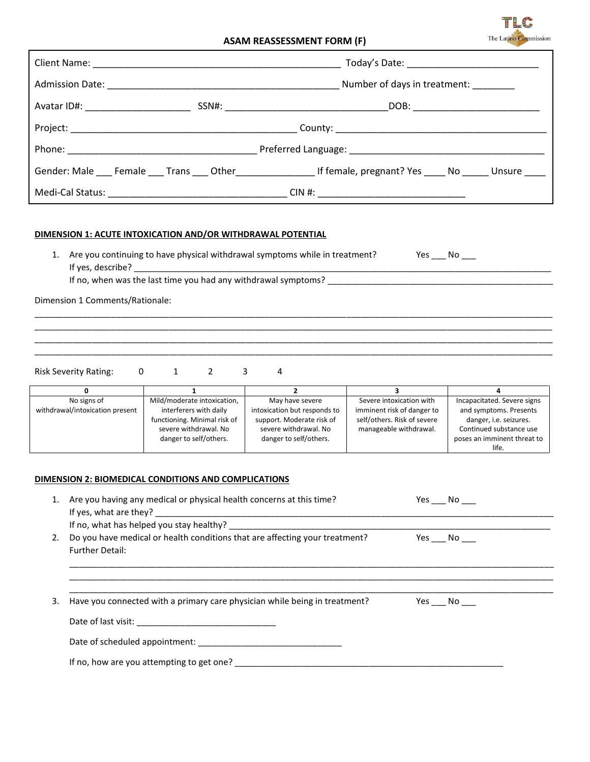|                                                                                                                |                                                                                                                                          | <b>ASAM REASSESSMENT FORM (F)</b>                                                                                                                               |                                                                                                                 | The Lating Commission                                                                                                                              |
|----------------------------------------------------------------------------------------------------------------|------------------------------------------------------------------------------------------------------------------------------------------|-----------------------------------------------------------------------------------------------------------------------------------------------------------------|-----------------------------------------------------------------------------------------------------------------|----------------------------------------------------------------------------------------------------------------------------------------------------|
|                                                                                                                |                                                                                                                                          |                                                                                                                                                                 |                                                                                                                 |                                                                                                                                                    |
|                                                                                                                |                                                                                                                                          |                                                                                                                                                                 |                                                                                                                 |                                                                                                                                                    |
|                                                                                                                |                                                                                                                                          |                                                                                                                                                                 |                                                                                                                 |                                                                                                                                                    |
|                                                                                                                |                                                                                                                                          |                                                                                                                                                                 |                                                                                                                 |                                                                                                                                                    |
|                                                                                                                |                                                                                                                                          |                                                                                                                                                                 |                                                                                                                 |                                                                                                                                                    |
| Gender: Male ___ Female ___ Trans ___ Other ________________ If female, pregnant? Yes ____ No _____ Unsure ___ |                                                                                                                                          |                                                                                                                                                                 |                                                                                                                 |                                                                                                                                                    |
|                                                                                                                |                                                                                                                                          |                                                                                                                                                                 |                                                                                                                 |                                                                                                                                                    |
| DIMENSION 1: ACUTE INTOXICATION AND/OR WITHDRAWAL POTENTIAL<br>Dimension 1 Comments/Rationale:                 |                                                                                                                                          | 1. Are you continuing to have physical withdrawal symptoms while in treatment? Yes ___ No ___<br>If no, when was the last time you had any withdrawal symptoms? |                                                                                                                 |                                                                                                                                                    |
| <b>Risk Severity Rating:</b><br>0                                                                              | $\mathbf{1}$<br>2                                                                                                                        | 3<br>4                                                                                                                                                          |                                                                                                                 |                                                                                                                                                    |
| $\mathbf{0}$                                                                                                   | $\mathbf{1}$                                                                                                                             | $\overline{2}$                                                                                                                                                  | $\overline{\mathbf{3}}$                                                                                         | $\overline{a}$                                                                                                                                     |
| No signs of<br>withdrawal/intoxication present                                                                 | Mild/moderate intoxication,<br>interferers with daily<br>functioning. Minimal risk of<br>severe withdrawal. No<br>danger to self/others. | May have severe<br>intoxication but responds to<br>support. Moderate risk of<br>severe withdrawal. No<br>danger to self/others.                                 | Severe intoxication with<br>imminent risk of danger to<br>self/others. Risk of severe<br>manageable withdrawal. | Incapacitated. Severe signs<br>and symptoms. Presents<br>danger, i.e. seizures.<br>Continued substance use<br>poses an imminent threat to<br>life. |
| DIMENSION 2: BIOMEDICAL CONDITIONS AND COMPLICATIONS                                                           | 1. Are you having any medical or physical health concerns at this time?                                                                  |                                                                                                                                                                 | Yes No                                                                                                          |                                                                                                                                                    |

|    | If no, what has helped you stay healthy?                                                              |        |  |
|----|-------------------------------------------------------------------------------------------------------|--------|--|
| 2. | Do you have medical or health conditions that are affecting your treatment?<br><b>Further Detail:</b> | Yes No |  |
|    |                                                                                                       |        |  |
| 3. | Have you connected with a primary care physician while being in treatment?                            | Yes No |  |
|    |                                                                                                       |        |  |
|    |                                                                                                       |        |  |
|    | If no, how are you attempting to get one?                                                             |        |  |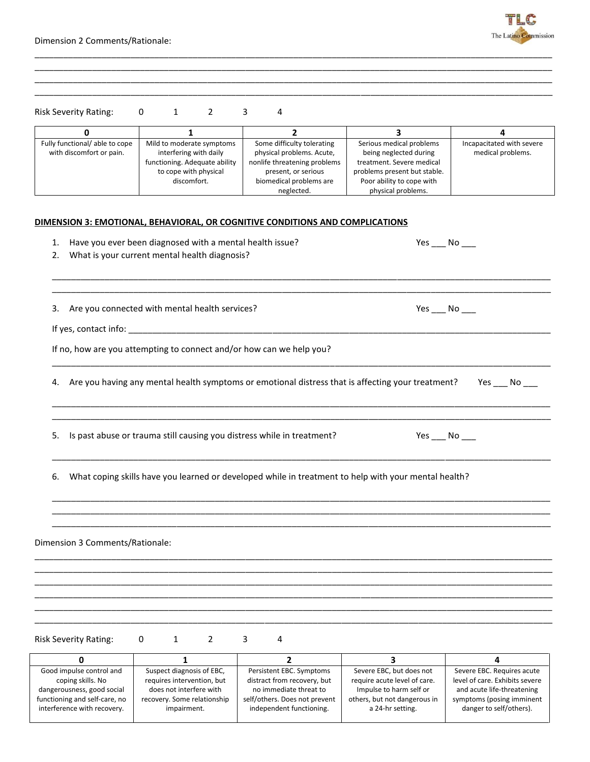Dimension 2 Comments/Rationale:



Risk Severity Rating: 0 1 2 3 4

\_\_\_\_\_\_\_\_\_\_\_\_\_\_\_\_\_\_\_\_\_\_\_\_\_\_\_\_\_\_\_\_\_\_\_\_\_\_\_\_\_\_\_\_\_\_\_\_\_\_\_\_\_\_\_\_\_\_\_\_\_\_\_\_\_\_\_\_\_\_\_\_\_\_\_\_\_\_\_\_\_\_\_\_\_\_\_\_\_\_\_\_\_\_\_\_\_\_\_\_\_\_\_\_\_\_\_\_

| Fully functional/ able to cope | Mild to moderate symptoms     | Some difficulty tolerating   | Serious medical problems     | Incapacitated with severe |
|--------------------------------|-------------------------------|------------------------------|------------------------------|---------------------------|
| with discomfort or pain.       | interfering with daily        | physical problems. Acute,    | being neglected during       | medical problems.         |
|                                | functioning. Adequate ability | nonlife threatening problems | treatment. Severe medical    |                           |
|                                | to cope with physical         | present, or serious          | problems present but stable. |                           |
|                                | discomfort.                   | biomedical problems are      | Poor ability to cope with    |                           |
|                                |                               | neglected.                   | physical problems.           |                           |

\_\_\_\_\_\_\_\_\_\_\_\_\_\_\_\_\_\_\_\_\_\_\_\_\_\_\_\_\_\_\_\_\_\_\_\_\_\_\_\_\_\_\_\_\_\_\_\_\_\_\_\_\_\_\_\_\_\_\_\_\_\_\_\_\_\_\_\_\_\_\_\_\_\_\_\_\_\_\_\_\_\_\_\_\_\_\_\_\_\_\_\_\_\_\_\_\_\_\_\_\_\_\_\_\_\_\_\_

\_\_\_\_\_\_\_\_\_\_\_\_\_\_\_\_\_\_\_\_\_\_\_\_\_\_\_\_\_\_\_\_\_\_\_\_\_\_\_\_\_\_\_\_\_\_\_\_\_\_\_\_\_\_\_\_\_\_\_\_\_\_\_\_\_\_\_\_\_\_\_\_\_\_\_\_\_\_\_\_\_\_\_\_\_\_\_\_\_\_\_\_\_\_\_\_\_\_\_\_\_\_\_\_\_\_\_\_ \_\_\_\_\_\_\_\_\_\_\_\_\_\_\_\_\_\_\_\_\_\_\_\_\_\_\_\_\_\_\_\_\_\_\_\_\_\_\_\_\_\_\_\_\_\_\_\_\_\_\_\_\_\_\_\_\_\_\_\_\_\_\_\_\_\_\_\_\_\_\_\_\_\_\_\_\_\_\_\_\_\_\_\_\_\_\_\_\_\_\_\_\_\_\_\_\_\_\_\_\_\_\_\_\_\_\_\_

## **DIMENSION 3: EMOTIONAL, BEHAVIORAL, OR COGNITIVE CONDITIONS AND COMPLICATIONS**

| 1.<br>2. | Have you ever been diagnosed with a mental health issue?<br>What is your current mental health diagnosis? | Yes $\_\_$ No $\_\_$                               |
|----------|-----------------------------------------------------------------------------------------------------------|----------------------------------------------------|
|          |                                                                                                           |                                                    |
|          | 3. Are you connected with mental health services?                                                         | Yes $\rule{1em}{0.15mm}$ No $\rule{1.5mm}{0.15mm}$ |
|          |                                                                                                           |                                                    |
|          | If no, how are you attempting to connect and/or how can we help you?                                      |                                                    |
| 4.       | Are you having any mental health symptoms or emotional distress that is affecting your treatment?         | Yes $\rule{1em}{0.15mm}$ No $\rule{1.5mm}{0.15mm}$ |
| 5.       | Is past abuse or trauma still causing you distress while in treatment?                                    | Yes $\rule{1em}{0.15mm}$ No $\rule{1.5mm}{0.15mm}$ |
| 6.       | What coping skills have you learned or developed while in treatment to help with your mental health?      |                                                    |
|          |                                                                                                           |                                                    |
|          | Dimension 3 Comments/Rationale:                                                                           |                                                    |
|          |                                                                                                           |                                                    |
|          |                                                                                                           |                                                    |
|          |                                                                                                           |                                                    |
|          | <b>Risk Severity Rating:</b><br>3<br>0<br>$\mathbf{1}$<br>2<br>4                                          |                                                    |

| Good impulse control and                                     | Suspect diagnosis of EBC.                  | Persistent EBC. Symptoms                                  | Severe EBC, but does not                         | Severe EBC. Requires acute                           |
|--------------------------------------------------------------|--------------------------------------------|-----------------------------------------------------------|--------------------------------------------------|------------------------------------------------------|
| coping skills. No                                            | requires intervention, but                 | distract from recovery, but                               | require acute level of care.                     | level of care. Exhibits severe                       |
| dangerousness, good social                                   | does not interfere with                    | no immediate threat to                                    | Impulse to harm self or                          | and acute life-threatening                           |
| functioning and self-care, no<br>interference with recovery. | recovery. Some relationship<br>impairment. | self/others. Does not prevent<br>independent functioning. | others, but not dangerous in<br>a 24-hr setting. | symptoms (posing imminent<br>danger to self/others). |
|                                                              |                                            |                                                           |                                                  |                                                      |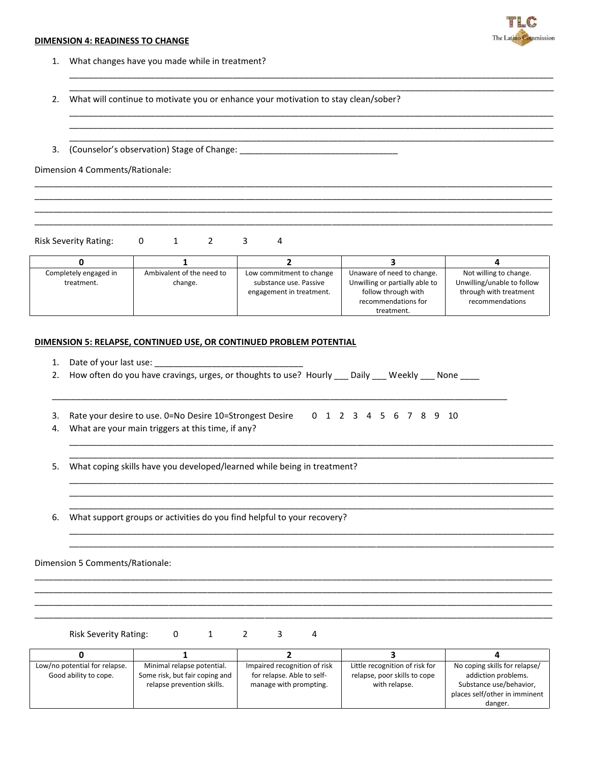#### **DIMENSION 4: READINESS TO CHANGE**



1. What changes have you made while in treatment?

2. What will continue to motivate you or enhance your motivation to stay clean/sober?

3. (Counselor's observation) Stage of Change: \_\_\_\_\_\_\_\_\_\_\_\_\_\_\_\_\_\_\_\_\_\_\_\_\_\_\_\_\_\_\_\_\_\_

#### Dimension 4 Comments/Rationale:

Risk Severity Rating: 0 1 2 3 4

| Completely engaged in<br>treatment. | Ambivalent of the need to<br>change. | Low commitment to change<br>substance use. Passive<br>engagement in treatment. | Unaware of need to change.<br>Unwilling or partially able to<br>follow through with<br>recommendations for | Not willing to change.<br>Unwilling/unable to follow<br>through with treatment<br>recommendations |
|-------------------------------------|--------------------------------------|--------------------------------------------------------------------------------|------------------------------------------------------------------------------------------------------------|---------------------------------------------------------------------------------------------------|
|                                     |                                      |                                                                                | treatment.                                                                                                 |                                                                                                   |

\_\_\_\_\_\_\_\_\_\_\_\_\_\_\_\_\_\_\_\_\_\_\_\_\_\_\_\_\_\_\_\_\_\_\_\_\_\_\_\_\_\_\_\_\_\_\_\_\_\_\_\_\_\_\_\_\_\_\_\_\_\_\_\_\_\_\_\_\_\_\_\_\_\_\_\_\_\_\_\_\_\_\_\_\_\_\_\_\_\_\_\_\_\_\_\_\_\_\_\_\_\_\_\_\_\_\_\_ \_\_\_\_\_\_\_\_\_\_\_\_\_\_\_\_\_\_\_\_\_\_\_\_\_\_\_\_\_\_\_\_\_\_\_\_\_\_\_\_\_\_\_\_\_\_\_\_\_\_\_\_\_\_\_\_\_\_\_\_\_\_\_\_\_\_\_\_\_\_\_\_\_\_\_\_\_\_\_\_\_\_\_\_\_\_\_\_\_\_\_\_\_\_\_\_\_\_\_\_\_\_\_\_\_\_\_\_ \_\_\_\_\_\_\_\_\_\_\_\_\_\_\_\_\_\_\_\_\_\_\_\_\_\_\_\_\_\_\_\_\_\_\_\_\_\_\_\_\_\_\_\_\_\_\_\_\_\_\_\_\_\_\_\_\_\_\_\_\_\_\_\_\_\_\_\_\_\_\_\_\_\_\_\_\_\_\_\_\_\_\_\_\_\_\_\_\_\_\_\_\_\_\_\_\_\_\_\_\_\_\_\_\_\_\_\_ \_\_\_\_\_\_\_\_\_\_\_\_\_\_\_\_\_\_\_\_\_\_\_\_\_\_\_\_\_\_\_\_\_\_\_\_\_\_\_\_\_\_\_\_\_\_\_\_\_\_\_\_\_\_\_\_\_\_\_\_\_\_\_\_\_\_\_\_\_\_\_\_\_\_\_\_\_\_\_\_\_\_\_\_\_\_\_\_\_\_\_\_\_\_\_\_\_\_\_\_\_\_\_\_\_\_\_\_

\_\_\_\_\_\_\_\_\_\_\_\_\_\_\_\_\_\_\_\_\_\_\_\_\_\_\_\_\_\_\_\_\_\_\_\_\_\_\_\_\_\_\_\_\_\_\_\_\_\_\_\_\_\_\_\_\_\_\_\_\_\_\_\_\_\_\_\_\_\_\_\_\_\_\_\_\_\_\_\_\_\_\_\_\_\_\_\_\_\_\_\_\_\_\_\_\_\_\_\_\_ \_\_\_\_\_\_\_\_\_\_\_\_\_\_\_\_\_\_\_\_\_\_\_\_\_\_\_\_\_\_\_\_\_\_\_\_\_\_\_\_\_\_\_\_\_\_\_\_\_\_\_\_\_\_\_\_\_\_\_\_\_\_\_\_\_\_\_\_\_\_\_\_\_\_\_\_\_\_\_\_\_\_\_\_\_\_\_\_\_\_\_\_\_\_\_\_\_\_\_\_\_

\_\_\_\_\_\_\_\_\_\_\_\_\_\_\_\_\_\_\_\_\_\_\_\_\_\_\_\_\_\_\_\_\_\_\_\_\_\_\_\_\_\_\_\_\_\_\_\_\_\_\_\_\_\_\_\_\_\_\_\_\_\_\_\_\_\_\_\_\_\_\_\_\_\_\_\_\_\_\_\_\_\_\_\_\_\_\_\_\_\_\_\_\_\_\_\_\_\_\_\_\_ \_\_\_\_\_\_\_\_\_\_\_\_\_\_\_\_\_\_\_\_\_\_\_\_\_\_\_\_\_\_\_\_\_\_\_\_\_\_\_\_\_\_\_\_\_\_\_\_\_\_\_\_\_\_\_\_\_\_\_\_\_\_\_\_\_\_\_\_\_\_\_\_\_\_\_\_\_\_\_\_\_\_\_\_\_\_\_\_\_\_\_\_\_\_\_\_\_\_\_\_\_ \_\_\_\_\_\_\_\_\_\_\_\_\_\_\_\_\_\_\_\_\_\_\_\_\_\_\_\_\_\_\_\_\_\_\_\_\_\_\_\_\_\_\_\_\_\_\_\_\_\_\_\_\_\_\_\_\_\_\_\_\_\_\_\_\_\_\_\_\_\_\_\_\_\_\_\_\_\_\_\_\_\_\_\_\_\_\_\_\_\_\_\_\_\_\_\_\_\_\_\_\_

### **DIMENSION 5: RELAPSE, CONTINUED USE, OR CONTINUED PROBLEM POTENTIAL**

- 1. Date of your last use:
- 2. How often do you have cravings, urges, or thoughts to use? Hourly \_\_\_ Daily \_\_\_ Weekly \_\_\_ None \_\_\_\_

\_\_\_\_\_\_\_\_\_\_\_\_\_\_\_\_\_\_\_\_\_\_\_\_\_\_\_\_\_\_\_\_\_\_\_\_\_\_\_\_\_\_\_\_\_\_\_\_\_\_\_\_\_\_\_\_\_\_\_\_\_\_\_\_\_\_\_\_\_\_\_\_\_\_\_\_\_\_\_\_\_\_\_\_\_\_\_\_\_\_\_\_\_\_\_

\_\_\_\_\_\_\_\_\_\_\_\_\_\_\_\_\_\_\_\_\_\_\_\_\_\_\_\_\_\_\_\_\_\_\_\_\_\_\_\_\_\_\_\_\_\_\_\_\_\_\_\_\_\_\_\_\_\_\_\_\_\_\_\_\_\_\_\_\_\_\_\_\_\_\_\_\_\_\_\_\_\_\_\_\_\_\_\_\_\_\_\_\_\_\_\_\_\_\_\_\_ \_\_\_\_\_\_\_\_\_\_\_\_\_\_\_\_\_\_\_\_\_\_\_\_\_\_\_\_\_\_\_\_\_\_\_\_\_\_\_\_\_\_\_\_\_\_\_\_\_\_\_\_\_\_\_\_\_\_\_\_\_\_\_\_\_\_\_\_\_\_\_\_\_\_\_\_\_\_\_\_\_\_\_\_\_\_\_\_\_\_\_\_\_\_\_\_\_\_\_\_\_

\_\_\_\_\_\_\_\_\_\_\_\_\_\_\_\_\_\_\_\_\_\_\_\_\_\_\_\_\_\_\_\_\_\_\_\_\_\_\_\_\_\_\_\_\_\_\_\_\_\_\_\_\_\_\_\_\_\_\_\_\_\_\_\_\_\_\_\_\_\_\_\_\_\_\_\_\_\_\_\_\_\_\_\_\_\_\_\_\_\_\_\_\_\_\_\_\_\_\_\_\_ \_\_\_\_\_\_\_\_\_\_\_\_\_\_\_\_\_\_\_\_\_\_\_\_\_\_\_\_\_\_\_\_\_\_\_\_\_\_\_\_\_\_\_\_\_\_\_\_\_\_\_\_\_\_\_\_\_\_\_\_\_\_\_\_\_\_\_\_\_\_\_\_\_\_\_\_\_\_\_\_\_\_\_\_\_\_\_\_\_\_\_\_\_\_\_\_\_\_\_\_\_ \_\_\_\_\_\_\_\_\_\_\_\_\_\_\_\_\_\_\_\_\_\_\_\_\_\_\_\_\_\_\_\_\_\_\_\_\_\_\_\_\_\_\_\_\_\_\_\_\_\_\_\_\_\_\_\_\_\_\_\_\_\_\_\_\_\_\_\_\_\_\_\_\_\_\_\_\_\_\_\_\_\_\_\_\_\_\_\_\_\_\_\_\_\_\_\_\_\_\_\_\_

\_\_\_\_\_\_\_\_\_\_\_\_\_\_\_\_\_\_\_\_\_\_\_\_\_\_\_\_\_\_\_\_\_\_\_\_\_\_\_\_\_\_\_\_\_\_\_\_\_\_\_\_\_\_\_\_\_\_\_\_\_\_\_\_\_\_\_\_\_\_\_\_\_\_\_\_\_\_\_\_\_\_\_\_\_\_\_\_\_\_\_\_\_\_\_\_\_\_\_\_\_ \_\_\_\_\_\_\_\_\_\_\_\_\_\_\_\_\_\_\_\_\_\_\_\_\_\_\_\_\_\_\_\_\_\_\_\_\_\_\_\_\_\_\_\_\_\_\_\_\_\_\_\_\_\_\_\_\_\_\_\_\_\_\_\_\_\_\_\_\_\_\_\_\_\_\_\_\_\_\_\_\_\_\_\_\_\_\_\_\_\_\_\_\_\_\_\_\_\_\_\_\_

- 3. Rate your desire to use. 0=No Desire 10=Strongest Desire 0 1 2 3 4 5 6 7 8 9 10
- 4. What are your main triggers at this time, if any?
- 5. What coping skills have you developed/learned while being in treatment?
- 6. What support groups or activities do you find helpful to your recovery?

#### Dimension 5 Comments/Rationale:

Risk Severity Rating: 0 1 2 3 4

| Low/no potential for relapse. | Minimal relapse potential.     | Impaired recognition of risk | Little recognition of risk for | No coping skills for relapse/ |
|-------------------------------|--------------------------------|------------------------------|--------------------------------|-------------------------------|
| Good ability to cope.         | Some risk, but fair coping and | for relapse. Able to self-   | relapse, poor skills to cope   | addiction problems.           |
|                               | relapse prevention skills.     | manage with prompting.       | with relapse.                  | Substance use/behavior,       |
|                               |                                |                              |                                | places self/other in imminent |
|                               |                                |                              |                                | danger.                       |

\_\_\_\_\_\_\_\_\_\_\_\_\_\_\_\_\_\_\_\_\_\_\_\_\_\_\_\_\_\_\_\_\_\_\_\_\_\_\_\_\_\_\_\_\_\_\_\_\_\_\_\_\_\_\_\_\_\_\_\_\_\_\_\_\_\_\_\_\_\_\_\_\_\_\_\_\_\_\_\_\_\_\_\_\_\_\_\_\_\_\_\_\_\_\_\_\_\_\_\_\_\_\_\_\_\_\_\_ \_\_\_\_\_\_\_\_\_\_\_\_\_\_\_\_\_\_\_\_\_\_\_\_\_\_\_\_\_\_\_\_\_\_\_\_\_\_\_\_\_\_\_\_\_\_\_\_\_\_\_\_\_\_\_\_\_\_\_\_\_\_\_\_\_\_\_\_\_\_\_\_\_\_\_\_\_\_\_\_\_\_\_\_\_\_\_\_\_\_\_\_\_\_\_\_\_\_\_\_\_\_\_\_\_\_\_\_ \_\_\_\_\_\_\_\_\_\_\_\_\_\_\_\_\_\_\_\_\_\_\_\_\_\_\_\_\_\_\_\_\_\_\_\_\_\_\_\_\_\_\_\_\_\_\_\_\_\_\_\_\_\_\_\_\_\_\_\_\_\_\_\_\_\_\_\_\_\_\_\_\_\_\_\_\_\_\_\_\_\_\_\_\_\_\_\_\_\_\_\_\_\_\_\_\_\_\_\_\_\_\_\_\_\_\_\_ \_\_\_\_\_\_\_\_\_\_\_\_\_\_\_\_\_\_\_\_\_\_\_\_\_\_\_\_\_\_\_\_\_\_\_\_\_\_\_\_\_\_\_\_\_\_\_\_\_\_\_\_\_\_\_\_\_\_\_\_\_\_\_\_\_\_\_\_\_\_\_\_\_\_\_\_\_\_\_\_\_\_\_\_\_\_\_\_\_\_\_\_\_\_\_\_\_\_\_\_\_\_\_\_\_\_\_\_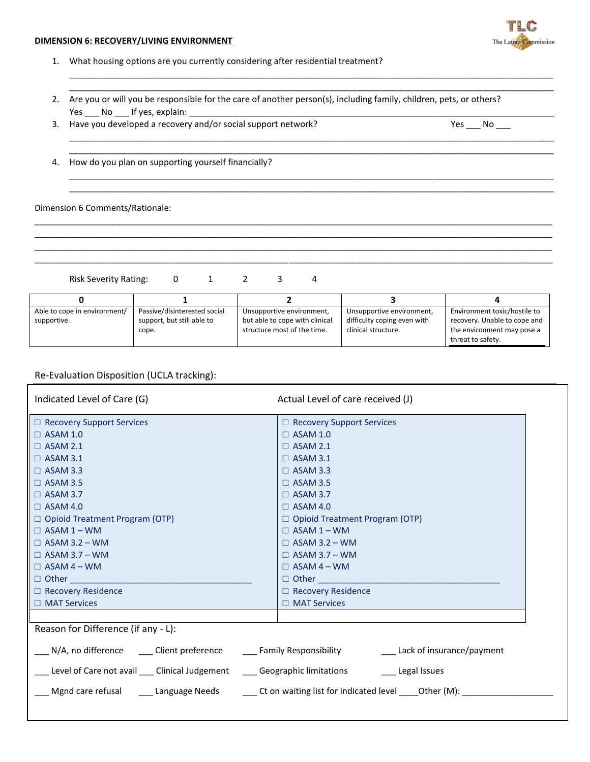#### **DIMENSION 6: RECOVERY/LIVING ENVIRONMENT**



1. What housing options are you currently considering after residential treatment?

2. Are you or will you be responsible for the care of another person(s), including family, children, pets, or others? Yes \_\_\_\_ No \_\_\_\_ If yes, explain:

\_\_\_\_\_\_\_\_\_\_\_\_\_\_\_\_\_\_\_\_\_\_\_\_\_\_\_\_\_\_\_\_\_\_\_\_\_\_\_\_\_\_\_\_\_\_\_\_\_\_\_\_\_\_\_\_\_\_\_\_\_\_\_\_\_\_\_\_\_\_\_\_\_\_\_\_\_\_\_\_\_\_\_\_\_\_\_\_\_\_\_\_\_\_\_\_\_\_\_\_\_ \_\_\_\_\_\_\_\_\_\_\_\_\_\_\_\_\_\_\_\_\_\_\_\_\_\_\_\_\_\_\_\_\_\_\_\_\_\_\_\_\_\_\_\_\_\_\_\_\_\_\_\_\_\_\_\_\_\_\_\_\_\_\_\_\_\_\_\_\_\_\_\_\_\_\_\_\_\_\_\_\_\_\_\_\_\_\_\_\_\_\_\_\_\_\_\_\_\_\_\_\_

\_\_\_\_\_\_\_\_\_\_\_\_\_\_\_\_\_\_\_\_\_\_\_\_\_\_\_\_\_\_\_\_\_\_\_\_\_\_\_\_\_\_\_\_\_\_\_\_\_\_\_\_\_\_\_\_\_\_\_\_\_\_\_\_\_\_\_\_\_\_\_\_\_\_\_\_\_\_\_\_\_\_\_\_\_\_\_\_\_\_\_\_\_\_\_\_\_\_\_\_\_ \_\_\_\_\_\_\_\_\_\_\_\_\_\_\_\_\_\_\_\_\_\_\_\_\_\_\_\_\_\_\_\_\_\_\_\_\_\_\_\_\_\_\_\_\_\_\_\_\_\_\_\_\_\_\_\_\_\_\_\_\_\_\_\_\_\_\_\_\_\_\_\_\_\_\_\_\_\_\_\_\_\_\_\_\_\_\_\_\_\_\_\_\_\_\_\_\_\_\_\_\_

\_\_\_\_\_\_\_\_\_\_\_\_\_\_\_\_\_\_\_\_\_\_\_\_\_\_\_\_\_\_\_\_\_\_\_\_\_\_\_\_\_\_\_\_\_\_\_\_\_\_\_\_\_\_\_\_\_\_\_\_\_\_\_\_\_\_\_\_\_\_\_\_\_\_\_\_\_\_\_\_\_\_\_\_\_\_\_\_\_\_\_\_\_\_\_\_\_\_\_\_\_ \_\_\_\_\_\_\_\_\_\_\_\_\_\_\_\_\_\_\_\_\_\_\_\_\_\_\_\_\_\_\_\_\_\_\_\_\_\_\_\_\_\_\_\_\_\_\_\_\_\_\_\_\_\_\_\_\_\_\_\_\_\_\_\_\_\_\_\_\_\_\_\_\_\_\_\_\_\_\_\_\_\_\_\_\_\_\_\_\_\_\_\_\_\_\_\_\_\_\_\_\_

3. Have you developed a recovery and/or social support network? <br>
Yes \_\_\_ No \_\_\_

4. How do you plan on supporting yourself financially?

#### Dimension 6 Comments/Rationale:

Risk Severity Rating: 0 1 2 3 4

\_\_\_\_\_\_\_\_\_\_\_\_\_\_\_\_\_\_\_\_\_\_\_\_\_\_\_\_\_\_\_\_\_\_\_\_\_\_\_\_\_\_\_\_\_\_\_\_\_\_\_\_\_\_\_\_\_\_\_\_\_\_\_\_\_\_\_\_\_\_\_\_\_\_\_\_\_\_\_\_\_\_\_\_\_\_\_\_\_\_\_\_\_\_\_\_\_\_\_\_\_\_\_\_\_\_\_\_ \_\_\_\_\_\_\_\_\_\_\_\_\_\_\_\_\_\_\_\_\_\_\_\_\_\_\_\_\_\_\_\_\_\_\_\_\_\_\_\_\_\_\_\_\_\_\_\_\_\_\_\_\_\_\_\_\_\_\_\_\_\_\_\_\_\_\_\_\_\_\_\_\_\_\_\_\_\_\_\_\_\_\_\_\_\_\_\_\_\_\_\_\_\_\_\_\_\_\_\_\_\_\_\_\_\_\_\_ \_\_\_\_\_\_\_\_\_\_\_\_\_\_\_\_\_\_\_\_\_\_\_\_\_\_\_\_\_\_\_\_\_\_\_\_\_\_\_\_\_\_\_\_\_\_\_\_\_\_\_\_\_\_\_\_\_\_\_\_\_\_\_\_\_\_\_\_\_\_\_\_\_\_\_\_\_\_\_\_\_\_\_\_\_\_\_\_\_\_\_\_\_\_\_\_\_\_\_\_\_\_\_\_\_\_\_\_ \_\_\_\_\_\_\_\_\_\_\_\_\_\_\_\_\_\_\_\_\_\_\_\_\_\_\_\_\_\_\_\_\_\_\_\_\_\_\_\_\_\_\_\_\_\_\_\_\_\_\_\_\_\_\_\_\_\_\_\_\_\_\_\_\_\_\_\_\_\_\_\_\_\_\_\_\_\_\_\_\_\_\_\_\_\_\_\_\_\_\_\_\_\_\_\_\_\_\_\_\_\_\_\_\_\_\_\_

| Able to cope in environment/<br>supportive. | Passive/disinterested social<br>support, but still able to<br>cope. | Unsupportive environment,<br>but able to cope with clinical<br>structure most of the time. | Unsupportive environment,<br>difficulty coping even with<br>clinical structure. | Environment toxic/hostile to<br>recovery. Unable to cope and<br>the environment may pose a<br>threat to safety. |
|---------------------------------------------|---------------------------------------------------------------------|--------------------------------------------------------------------------------------------|---------------------------------------------------------------------------------|-----------------------------------------------------------------------------------------------------------------|

# Re-Evaluation Disposition (UCLA tracking):

| Indicated Level of Care (G)                                                                                          | Actual Level of care received (J)        |  |
|----------------------------------------------------------------------------------------------------------------------|------------------------------------------|--|
| $\Box$ Recovery Support Services                                                                                     | □ Recovery Support Services              |  |
| $\Box$ ASAM 1.0                                                                                                      | $\Box$ ASAM 1.0                          |  |
| $\Box$ ASAM 2.1                                                                                                      | $\Box$ ASAM 2.1                          |  |
| $\Box$ ASAM 3.1                                                                                                      | $\Box$ ASAM 3.1                          |  |
| $\Box$ ASAM 3.3                                                                                                      | $\Box$ ASAM 3.3                          |  |
| $\Box$ ASAM 3.5                                                                                                      | $\Box$ ASAM 3.5                          |  |
| $\Box$ ASAM 3.7                                                                                                      | $\Box$ ASAM 3.7                          |  |
| $\Box$ ASAM 4.0                                                                                                      | $\Box$ ASAM 4.0                          |  |
| $\Box$ Opioid Treatment Program (OTP)                                                                                | $\Box$ Opioid Treatment Program (OTP)    |  |
| $\Box$ ASAM 1 – WM                                                                                                   | $\Box$ ASAM 1 – WM                       |  |
| $\Box$ ASAM 3.2 – WM                                                                                                 | $\Box$ ASAM 3.2 – WM                     |  |
| $\Box$ ASAM 3.7 – WM                                                                                                 | $\Box$ ASAM 3.7 – WM                     |  |
| $\Box$ ASAM 4 – WM                                                                                                   | $\Box$ ASAM 4 – WM                       |  |
| $\Box$ Other $\Box$                                                                                                  | $\Box$ Other and $\Box$ Other and $\Box$ |  |
| $\Box$ Recovery Residence                                                                                            | □ Recovery Residence                     |  |
| □ MAT Services                                                                                                       | $\Box$ MAT Services                      |  |
|                                                                                                                      |                                          |  |
| Reason for Difference (if any - L):                                                                                  |                                          |  |
| ____ N/A, no difference ______ Client preference _______ Family Responsibility ____________Lack of insurance/payment |                                          |  |
| Level of Care not avail ___ Clinical Judgement ____ Geographic limitations ______ Legal Issues                       |                                          |  |
| Mgnd care refusal _______ Language Needs ________ Ct on waiting list for indicated level _____ Other (M): ____       |                                          |  |
|                                                                                                                      |                                          |  |